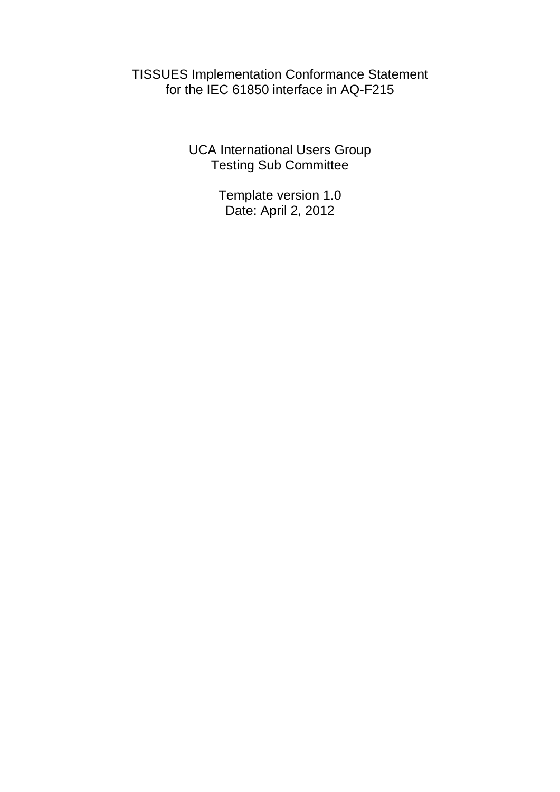TISSUES Implementation Conformance Statement for the IEC 61850 interface in AQ-F215

> UCA International Users Group Testing Sub Committee

> > Template version 1.0 Date: April 2, 2012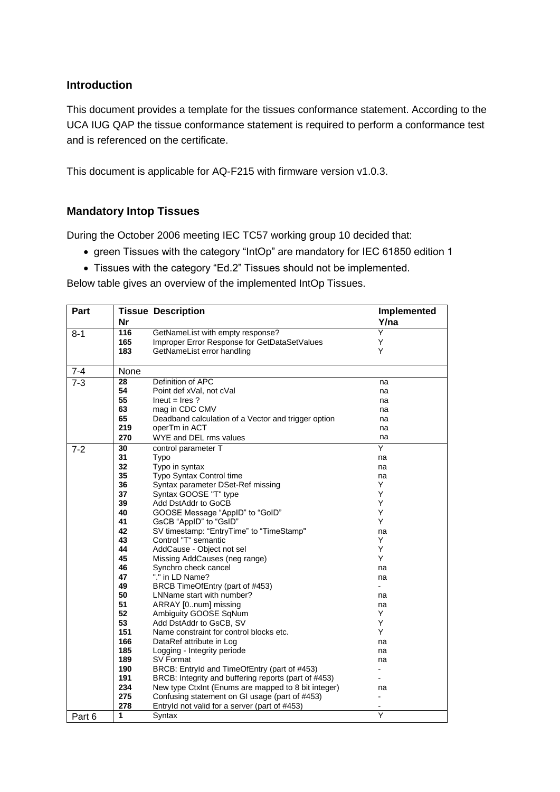### **Introduction**

This document provides a template for the tissues conformance statement. According to the UCA IUG QAP the tissue conformance statement is required to perform a conformance test and is referenced on the certificate.

This document is applicable for AQ-F215 with firmware version v1.0.3.

# **Mandatory Intop Tissues**

During the October 2006 meeting IEC TC57 working group 10 decided that:

- green Tissues with the category "IntOp" are mandatory for IEC 61850 edition 1
- Tissues with the category "Ed.2" Tissues should not be implemented.

Below table gives an overview of the implemented IntOp Tissues.

| Part    |           | <b>Tissue Description</b>                                    | Implemented          |
|---------|-----------|--------------------------------------------------------------|----------------------|
|         | <b>Nr</b> |                                                              | Y/na                 |
| $8 - 1$ | 116       | GetNameList with empty response?                             | Y                    |
|         | 165       | Improper Error Response for GetDataSetValues                 | Y                    |
|         | 183       | GetNameList error handling                                   | Υ                    |
|         |           |                                                              |                      |
| $7 - 4$ | None      |                                                              |                      |
| $7 - 3$ | 28        | Definition of APC                                            | na                   |
|         | 54        | Point def xVal, not cVal                                     | na                   |
|         | 55        | $lneut = lres$ ?                                             | na                   |
|         | 63        | mag in CDC CMV                                               | na                   |
|         | 65        | Deadband calculation of a Vector and trigger option          | na                   |
|         | 219       | operTm in ACT                                                | na                   |
|         | 270       | WYE and DEL rms values                                       | na                   |
| $7-2$   | 30        | control parameter T                                          | Υ                    |
|         | 31        | Typo                                                         | na                   |
|         | 32        | Typo in syntax                                               | na                   |
|         | 35        | <b>Typo Syntax Control time</b>                              | na                   |
|         | 36        | Syntax parameter DSet-Ref missing                            | Y                    |
|         | 37        | Syntax GOOSE "T" type                                        | Y                    |
|         | 39        | Add DstAddr to GoCB                                          | Y                    |
|         | 40        | GOOSE Message "ApplD" to "GolD"                              | Y                    |
|         | 41        | GsCB "AppID" to "GsID"                                       | Y                    |
|         | 42        | SV timestamp: "EntryTime" to "TimeStamp"                     | na                   |
|         | 43        | Control "T" semantic                                         | Y                    |
|         | 44        | AddCause - Object not sel                                    | Y                    |
|         | 45        | Missing AddCauses (neg range)                                | Y                    |
|         | 46<br>47  | Synchro check cancel                                         | na                   |
|         | 49        | "." in LD Name?                                              | na<br>$\overline{a}$ |
|         | 50        | BRCB TimeOfEntry (part of #453)<br>LNName start with number? |                      |
|         | 51        | ARRAY [0num] missing                                         | na                   |
|         | 52        | Ambiguity GOOSE SqNum                                        | na<br>Y              |
|         | 53        | Add DstAddr to GsCB, SV                                      | Y                    |
|         | 151       | Name constraint for control blocks etc.                      | Y                    |
|         | 166       | DataRef attribute in Log                                     | na                   |
|         | 185       | Logging - Integrity periode                                  | na                   |
|         | 189       | SV Format                                                    | na                   |
|         | 190       | BRCB: Entryld and TimeOfEntry (part of #453)                 |                      |
|         | 191       | BRCB: Integrity and buffering reports (part of #453)         |                      |
|         | 234       | New type CtxInt (Enums are mapped to 8 bit integer)          | na                   |
|         | 275       | Confusing statement on GI usage (part of #453)               | $\overline{a}$       |
|         | 278       | Entryld not valid for a server (part of #453)                |                      |
| Part 6  | 1         | Syntax                                                       | Ÿ                    |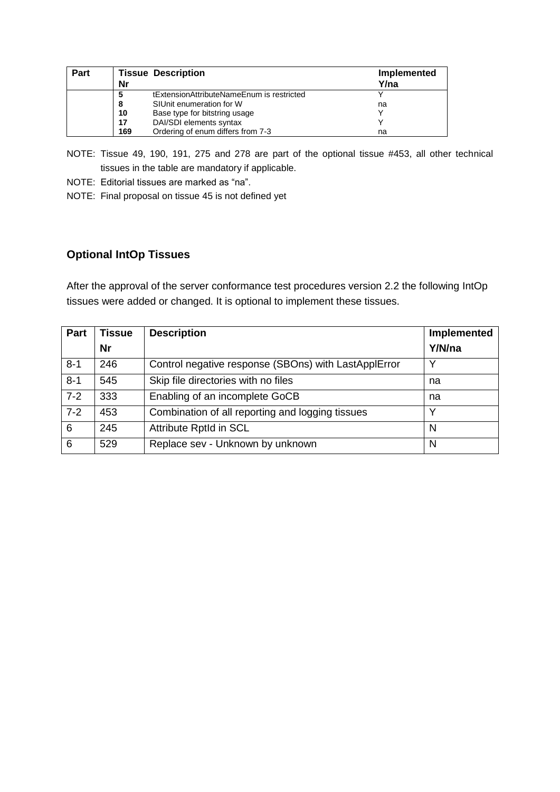| Part |     | <b>Tissue Description</b>                 | Implemented |
|------|-----|-------------------------------------------|-------------|
|      | Nr  |                                           | Y/na        |
|      | 5   | tExtensionAttributeNameEnum is restricted |             |
|      | 8   | SIUnit enumeration for W                  | na          |
|      | 10  | Base type for bitstring usage             |             |
|      | 17  | DAI/SDI elements syntax                   |             |
|      | 169 | Ordering of enum differs from 7-3         | na          |

- NOTE: Tissue 49, 190, 191, 275 and 278 are part of the optional tissue #453, all other technical tissues in the table are mandatory if applicable.
- NOTE: Editorial tissues are marked as "na".
- NOTE: Final proposal on tissue 45 is not defined yet

# **Optional IntOp Tissues**

After the approval of the server conformance test procedures version 2.2 the following IntOp tissues were added or changed. It is optional to implement these tissues.

| Part    | <b>Tissue</b> | <b>Description</b>                                   | Implemented  |
|---------|---------------|------------------------------------------------------|--------------|
|         | <b>Nr</b>     |                                                      | Y/N/na       |
| $8 - 1$ | 246           | Control negative response (SBOns) with LastApplError | $\checkmark$ |
| $8 - 1$ | 545           | Skip file directories with no files                  | na           |
| $7 - 2$ | 333           | Enabling of an incomplete GoCB                       | na           |
| $7-2$   | 453           | Combination of all reporting and logging tissues     |              |
| 6       | 245           | <b>Attribute RptId in SCL</b>                        | N            |
| 6       | 529           | Replace sev - Unknown by unknown                     | N            |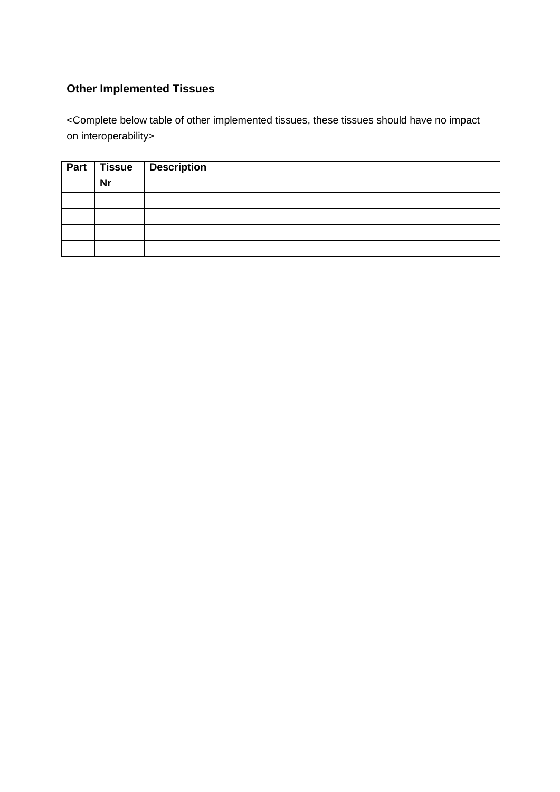# **Other Implemented Tissues**

<Complete below table of other implemented tissues, these tissues should have no impact on interoperability>

| Part $ $ |           | Tissue   Description |
|----------|-----------|----------------------|
|          | <b>Nr</b> |                      |
|          |           |                      |
|          |           |                      |
|          |           |                      |
|          |           |                      |